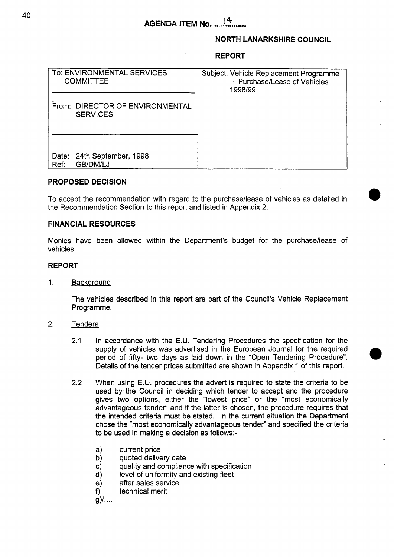#### **NORTH LANARKSHIRE COUNCIL**

#### **REPORT**

| To: ENVIRONMENTAL SERVICES<br><b>COMMITTEE</b>     | Subject: Vehicle Replacement Programme<br>- Purchase/Lease of Vehicles<br>1998/99 |
|----------------------------------------------------|-----------------------------------------------------------------------------------|
| From: DIRECTOR OF ENVIRONMENTAL<br><b>SERVICES</b> |                                                                                   |
| 24th September, 1998<br>Date:<br>GB/DM/LJ<br>Ref.  |                                                                                   |

## **PROPOSED DECISION**

To accept the recommendation with regard to the purchase/lease of vehicles as detailed in the Recommendation Section to this report and listed in Appendix 2.

#### **FINANCIAL RESOURCES**

Monies have been allowed within the Department's budget for the purchase/lease of vehicles.

## **REPORT**

1. Backaround

The vehicles described in this report are part of the Council's Vehicle Replacement Programme.

- 2. Tenders
	- 2.1 In accordance with the E.U. Tendering Procedures the specification for the supply of vehicles was advertised in the European Journal for the required period of fifty- two days as laid down in the "Open Tendering Procedure". Details of the tender prices submitted are shown in Appendix 1 of this report.
	- When using E.U. procedures the advert is required to state the criteria to be used by the Council in deciding which tender to accept and the procedure gives two options, either the "lowest price" or the "most economically advantageous tender" and if the latter is chosen, the procedure requires that the intended criteria must be stated. In the current situation the Department chose the "most economically advantageous tender" and specified the criteria to be used in making a decision as follows:- 2.2
		- a) current price
		- b) quoted delivery date
		- c) quality and compliance with specification
		- level of uniformity and existing fleet
		- d) after sales service
		- **9** technical merit

 $g$ )....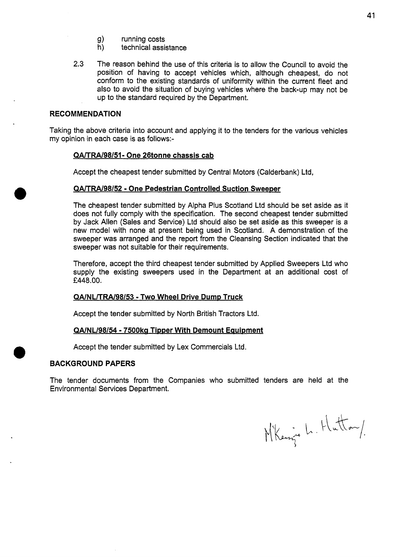- g) running costs<br>h) technical assis
- technical assistance
- **2.3** The reason behind the use of this criteria is to allow the Council to avoid the position of having to accept vehicles which, although cheapest, do not conform to the existing standards of uniformity within the current fleet and also to avoid the situation of buying vehicles where the back-up may not be up to the standard required by the Department.

## **RECOMMENDATION**

Taking the above criteria into account and applying it to the tenders for the various vehicles my opinion in each case is as follows:-

## **QA/TRA/98/51- One 26tonne chassis cab**

Accept the cheapest tender submitted by Central Motors (Calderbank) Ltd,

## **QA/TRA/98/52 - One Pedestrian Controlled Suction Sweeper**

The cheapest tender submitted by Alpha Plus Scotland Ltd should be set aside as it does not fully comply with the specification. The second cheapest tender submitted by Jack Allen (Sales and Service) Ltd should also be set aside as this sweeper is a new model with none at present being used in Scotland. A demonstration of the sweeper was arranged and the report from the Cleansing Section indicated that the sweeper was not suitable for their requirements.

Therefore, accept the third cheapest tender submitted by Applied Sweepers Ltd who supply the existing sweepers used in the Department at an additional cost of £448.00.

#### **QA/NL/TRA/98/53 - Two Wheel Drive Dump Truck**

Accept the tender submitted by North British Tractors Ltd.

#### **QA/NL/98/54 - 7500kg Tipper With Demount Equipment**

Accept the tender submitted by Lex Commercials Ltd.

## **BACKGROUND PAPERS**

**e** 

The tender documents from the Companies who submitted tenders are held at the Environmental Services Department.

Mikening L. Hutton/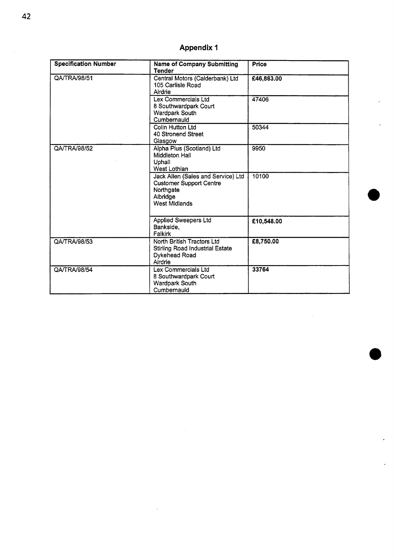# **Appendix 1**

| <b>Specification Number</b> | <b>Name of Company Submitting</b><br><b>Tender</b>                                                                    | Price      |
|-----------------------------|-----------------------------------------------------------------------------------------------------------------------|------------|
| QA/TRA/98/51                | Central Motors (Calderbank) Ltd<br>105 Carlisle Road<br>Airdrie                                                       | £46,863.00 |
|                             | Lex Commercials Ltd<br>8 Southwardpark Court<br>Wardpark South<br>Cumbernauld                                         | 47406      |
|                             | Colin Hutton Ltd<br>40 Stronend Street<br>Glasgow                                                                     | 50344      |
| QA/TRA/98/52                | Alpha Plus (Scotland) Ltd<br>Middleton Hall<br>Uphall<br>West Lothian                                                 | 9950       |
|                             | Jack Allen (Sales and Service) Ltd<br><b>Customer Support Centre</b><br>Northgate<br>Albridge<br><b>West Midlands</b> | 10100      |
|                             | Applied Sweepers Ltd<br>Bankside,<br>Falkirk                                                                          | £10,548.00 |
| QA/TRA/98/53                | North British Tractors Ltd<br>Stirling Road Industrial Estate<br>Dykehead Road<br>Airdrie                             | £8,750.00  |
| QA/TRA/98/54                | Lex Commercials Ltd<br>8 Southwardpark Court<br><b>Wardpark South</b><br>Cumbernauld                                  | 33764      |